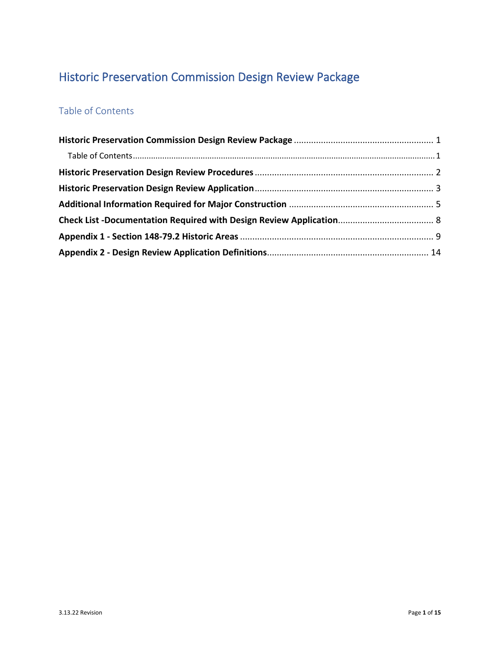# <span id="page-0-0"></span>Historic Preservation Commission Design Review Package

## <span id="page-0-1"></span>Table of Contents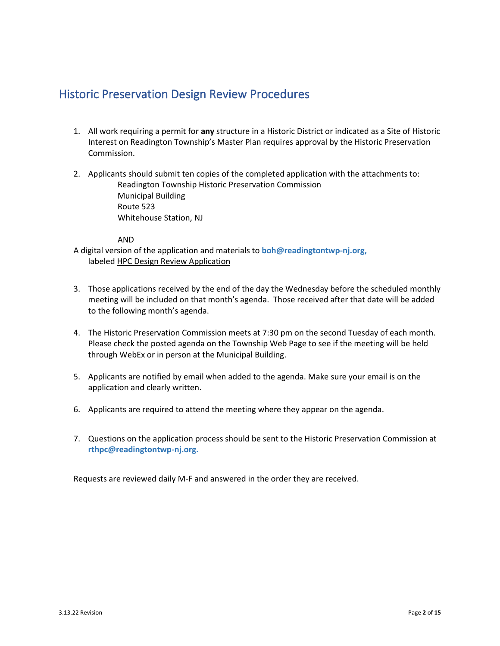## <span id="page-1-0"></span>Historic Preservation Design Review Procedures

- 1. All work requiring a permit for **any** structure in a Historic District or indicated as a Site of Historic Interest on Readington Township's Master Plan requires approval by the Historic Preservation Commission.
- 2. Applicants should submit ten copies of the completed application with the attachments to: Readington Township Historic Preservation Commission Municipal Building Route 523 Whitehouse Station, NJ

#### AND

A digital version of the application and materials to **boh@readingtontwp-nj.org,**  labeled HPC Design Review Application

- 3. Those applications received by the end of the day the Wednesday before the scheduled monthly meeting will be included on that month's agenda. Those received after that date will be added to the following month's agenda.
- 4. The Historic Preservation Commission meets at 7:30 pm on the second Tuesday of each month. Please check the posted agenda on the Township Web Page to see if the meeting will be held through WebEx or in person at the Municipal Building.
- 5. Applicants are notified by email when added to the agenda. Make sure your email is on the application and clearly written.
- 6. Applicants are required to attend the meeting where they appear on the agenda.
- 7. Questions on the application process should be sent to the Historic Preservation Commission at **rthpc@readingtontwp-nj.org.**

Requests are reviewed daily M-F and answered in the order they are received.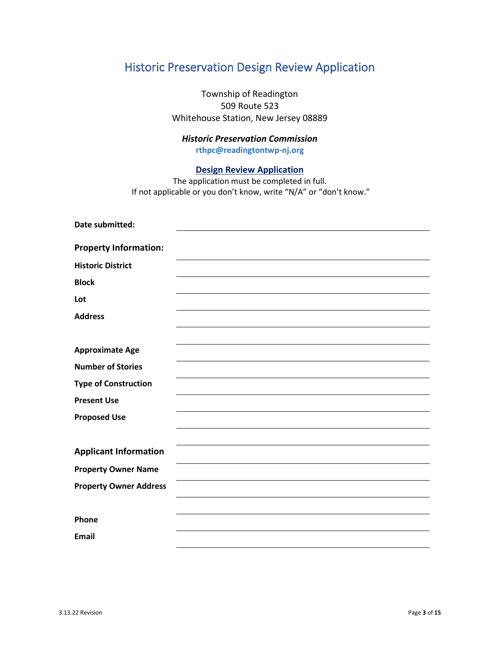# <span id="page-2-0"></span>Historic Preservation Design Review Application

Township of Readington 509 Route 523 Whitehouse Station, New Jersey 08889

### *Historic Preservation Commission* **rthpc@readingtontwp-nj.org**

#### **Design Review Application**

The application must be completed in full. If not applicable or you don't know, write "N/A" or "don't know."

| Date submitted:               |  |
|-------------------------------|--|
|                               |  |
| <b>Property Information:</b>  |  |
| <b>Historic District</b>      |  |
| <b>Block</b>                  |  |
| Lot                           |  |
| <b>Address</b>                |  |
|                               |  |
| <b>Approximate Age</b>        |  |
| <b>Number of Stories</b>      |  |
| <b>Type of Construction</b>   |  |
| <b>Present Use</b>            |  |
| <b>Proposed Use</b>           |  |
|                               |  |
| <b>Applicant Information</b>  |  |
| <b>Property Owner Name</b>    |  |
| <b>Property Owner Address</b> |  |
|                               |  |
| Phone                         |  |
| <b>Email</b>                  |  |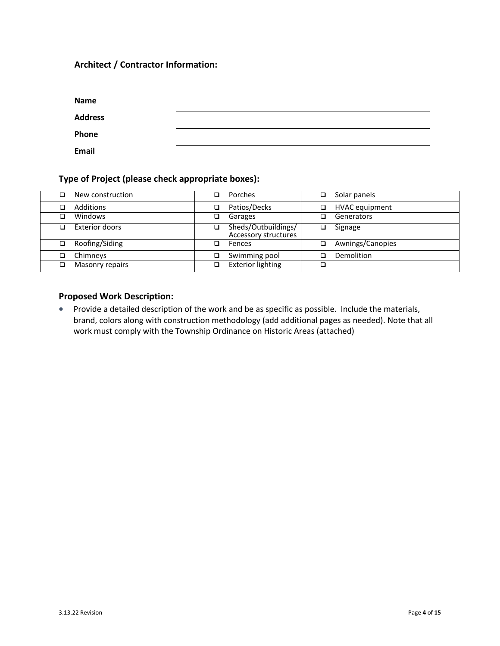### **Architect / Contractor Information:**

| Name           |  |
|----------------|--|
| <b>Address</b> |  |
| Phone          |  |
| Email          |  |

#### **Type of Project (please check appropriate boxes):**

| □  | New construction      | ❏ | Porches                                     | ⊐ | Solar panels          |
|----|-----------------------|---|---------------------------------------------|---|-----------------------|
|    | Additions             | a | Patios/Decks                                |   | <b>HVAC</b> equipment |
|    | Windows               | ❏ | Garages                                     |   | Generators            |
|    | <b>Exterior doors</b> | ◻ | Sheds/Outbuildings/<br>Accessory structures |   | Signage               |
| □. | Roofing/Siding        | ❏ | Fences                                      | ┒ | Awnings/Canopies      |
|    | Chimneys              | ◻ | Swimming pool                               |   | Demolition            |
| □  | Masonry repairs       | ❏ | <b>Exterior lighting</b>                    |   |                       |

### **Proposed Work Description:**

• Provide a detailed description of the work and be as specific as possible. Include the materials, brand, colors along with construction methodology (add additional pages as needed). Note that all work must comply with the Township Ordinance on Historic Areas (attached)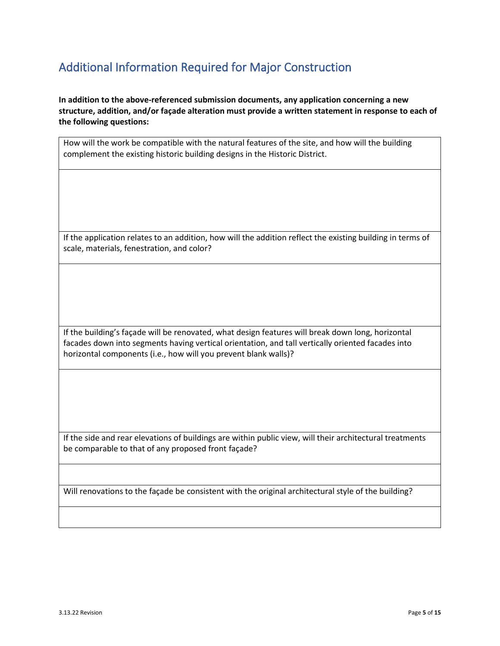# <span id="page-4-0"></span>Additional Information Required for Major Construction

**In addition to the above-referenced submission documents, any application concerning a new structure, addition, and/or façade alteration must provide a written statement in response to each of the following questions:**

How will the work be compatible with the natural features of the site, and how will the building complement the existing historic building designs in the Historic District.

If the application relates to an addition, how will the addition reflect the existing building in terms of scale, materials, fenestration, and color?

If the building's façade will be renovated, what design features will break down long, horizontal facades down into segments having vertical orientation, and tall vertically oriented facades into horizontal components (i.e., how will you prevent blank walls)?

If the side and rear elevations of buildings are within public view, will their architectural treatments be comparable to that of any proposed front façade?

Will renovations to the façade be consistent with the original architectural style of the building?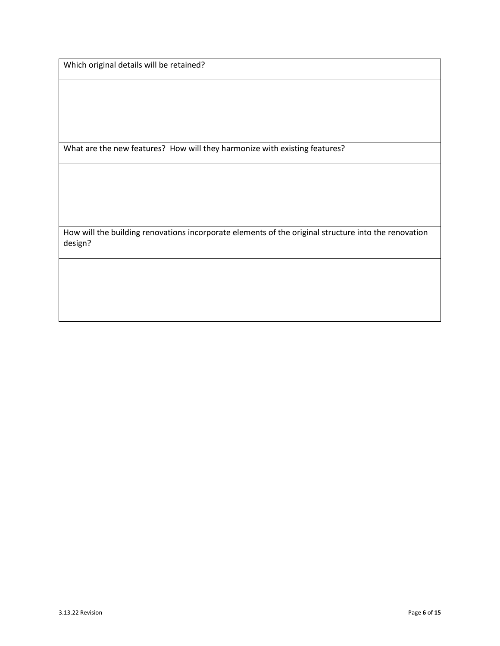Which original details will be retained?

What are the new features? How will they harmonize with existing features?

How will the building renovations incorporate elements of the original structure into the renovation design?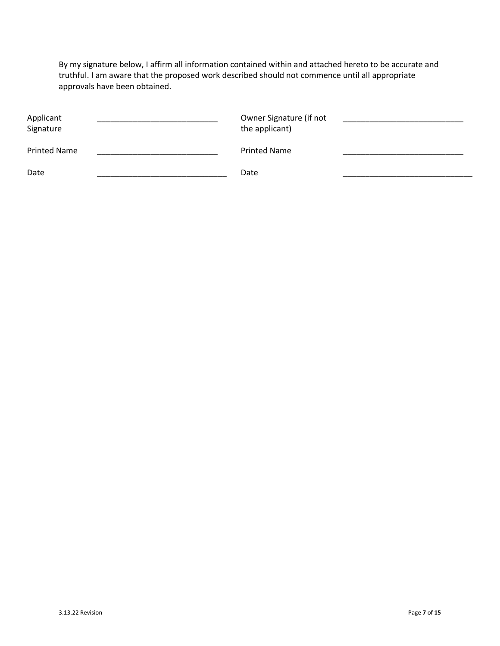By my signature below, I affirm all information contained within and attached hereto to be accurate and truthful. I am aware that the proposed work described should not commence until all appropriate approvals have been obtained.

| Applicant<br>Signature | Owner Signature (if not<br>the applicant) |  |
|------------------------|-------------------------------------------|--|
| <b>Printed Name</b>    | <b>Printed Name</b>                       |  |
| Date                   | Date                                      |  |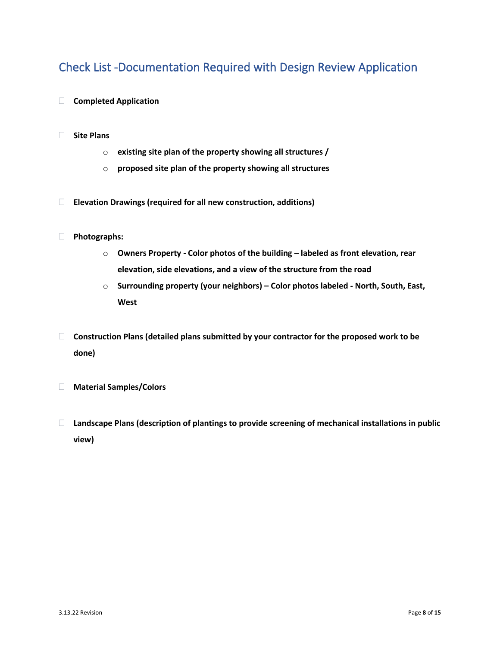## <span id="page-7-0"></span>Check List -Documentation Required with Design Review Application

- **Completed Application**
- **Site Plans**
	- o **existing site plan of the property showing all structures /**
	- o **proposed site plan of the property showing all structures**
- **Elevation Drawings (required for all new construction, additions)**
- **Photographs:**
	- o **Owners Property - Color photos of the building – labeled as front elevation, rear elevation, side elevations, and a view of the structure from the road**
	- o **Surrounding property (your neighbors) – Color photos labeled - North, South, East, West**
- **Construction Plans (detailed plans submitted by your contractor for the proposed work to be done)**
- **Material Samples/Colors**
- **Landscape Plans (description of plantings to provide screening of mechanical installations in public view)**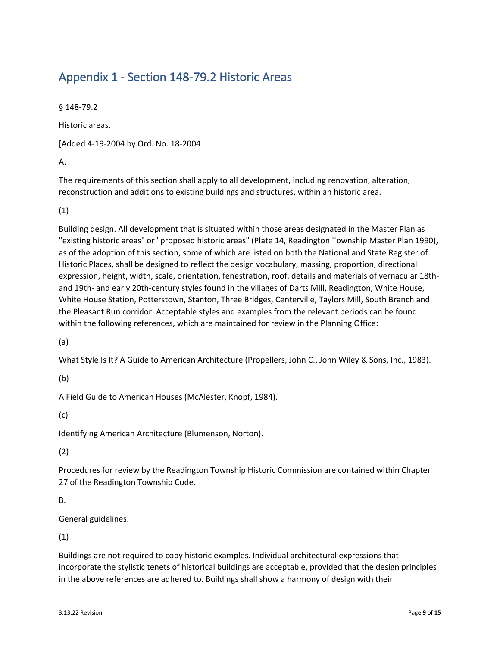# <span id="page-8-0"></span>Appendix 1 - Section 148-79.2 Historic Areas

§ 148-79.2

Historic areas.

[Added 4-19-2004 by Ord. No. 18-2004

A.

The requirements of this section shall apply to all development, including renovation, alteration, reconstruction and additions to existing buildings and structures, within an historic area.

(1)

Building design. All development that is situated within those areas designated in the Master Plan as "existing historic areas" or "proposed historic areas" (Plate 14, Readington Township Master Plan 1990), as of the adoption of this section, some of which are listed on both the National and State Register of Historic Places, shall be designed to reflect the design vocabulary, massing, proportion, directional expression, height, width, scale, orientation, fenestration, roof, details and materials of vernacular 18thand 19th- and early 20th-century styles found in the villages of Darts Mill, Readington, White House, White House Station, Potterstown, Stanton, Three Bridges, Centerville, Taylors Mill, South Branch and the Pleasant Run corridor. Acceptable styles and examples from the relevant periods can be found within the following references, which are maintained for review in the Planning Office:

(a)

What Style Is It? A Guide to American Architecture (Propellers, John C., John Wiley & Sons, Inc., 1983).

(b)

A Field Guide to American Houses (McAlester, Knopf, 1984).

(c)

Identifying American Architecture (Blumenson, Norton).

(2)

Procedures for review by the Readington Township Historic Commission are contained within Chapter 27 of the Readington Township Code.

B.

General guidelines.

(1)

Buildings are not required to copy historic examples. Individual architectural expressions that incorporate the stylistic tenets of historical buildings are acceptable, provided that the design principles in the above references are adhered to. Buildings shall show a harmony of design with their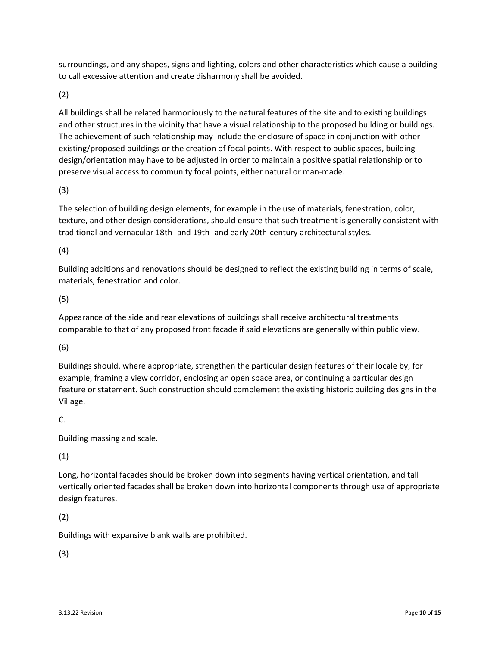surroundings, and any shapes, signs and lighting, colors and other characteristics which cause a building to call excessive attention and create disharmony shall be avoided.

(2)

All buildings shall be related harmoniously to the natural features of the site and to existing buildings and other structures in the vicinity that have a visual relationship to the proposed building or buildings. The achievement of such relationship may include the enclosure of space in conjunction with other existing/proposed buildings or the creation of focal points. With respect to public spaces, building design/orientation may have to be adjusted in order to maintain a positive spatial relationship or to preserve visual access to community focal points, either natural or man-made.

(3)

The selection of building design elements, for example in the use of materials, fenestration, color, texture, and other design considerations, should ensure that such treatment is generally consistent with traditional and vernacular 18th- and 19th- and early 20th-century architectural styles.

(4)

Building additions and renovations should be designed to reflect the existing building in terms of scale, materials, fenestration and color.

(5)

Appearance of the side and rear elevations of buildings shall receive architectural treatments comparable to that of any proposed front facade if said elevations are generally within public view.

(6)

Buildings should, where appropriate, strengthen the particular design features of their locale by, for example, framing a view corridor, enclosing an open space area, or continuing a particular design feature or statement. Such construction should complement the existing historic building designs in the Village.

### C.

Building massing and scale.

(1)

Long, horizontal facades should be broken down into segments having vertical orientation, and tall vertically oriented facades shall be broken down into horizontal components through use of appropriate design features.

(2)

Buildings with expansive blank walls are prohibited.

(3)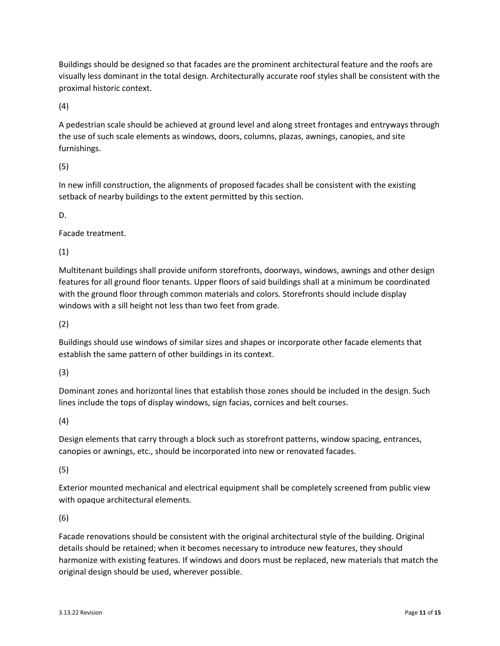Buildings should be designed so that facades are the prominent architectural feature and the roofs are visually less dominant in the total design. Architecturally accurate roof styles shall be consistent with the proximal historic context.

(4)

A pedestrian scale should be achieved at ground level and along street frontages and entryways through the use of such scale elements as windows, doors, columns, plazas, awnings, canopies, and site furnishings.

(5)

In new infill construction, the alignments of proposed facades shall be consistent with the existing setback of nearby buildings to the extent permitted by this section.

D.

Facade treatment.

(1)

Multitenant buildings shall provide uniform storefronts, doorways, windows, awnings and other design features for all ground floor tenants. Upper floors of said buildings shall at a minimum be coordinated with the ground floor through common materials and colors. Storefronts should include display windows with a sill height not less than two feet from grade.

(2)

Buildings should use windows of similar sizes and shapes or incorporate other facade elements that establish the same pattern of other buildings in its context.

(3)

Dominant zones and horizontal lines that establish those zones should be included in the design. Such lines include the tops of display windows, sign facias, cornices and belt courses.

(4)

Design elements that carry through a block such as storefront patterns, window spacing, entrances, canopies or awnings, etc., should be incorporated into new or renovated facades.

(5)

Exterior mounted mechanical and electrical equipment shall be completely screened from public view with opaque architectural elements.

(6)

Facade renovations should be consistent with the original architectural style of the building. Original details should be retained; when it becomes necessary to introduce new features, they should harmonize with existing features. If windows and doors must be replaced, new materials that match the original design should be used, wherever possible.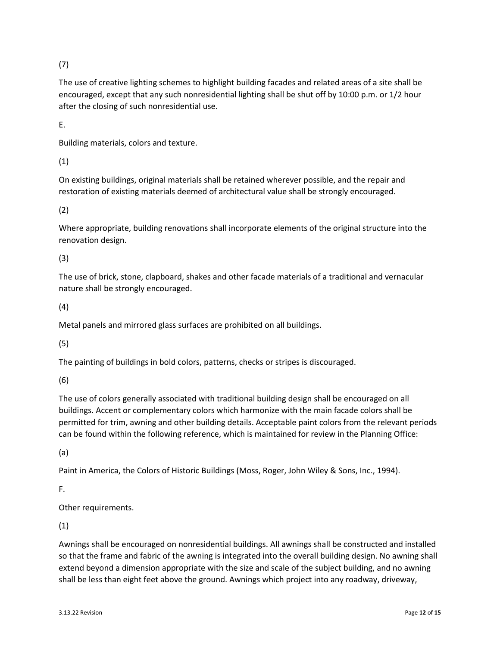(7)

The use of creative lighting schemes to highlight building facades and related areas of a site shall be encouraged, except that any such nonresidential lighting shall be shut off by 10:00 p.m. or 1/2 hour after the closing of such nonresidential use.

E.

Building materials, colors and texture.

(1)

On existing buildings, original materials shall be retained wherever possible, and the repair and restoration of existing materials deemed of architectural value shall be strongly encouraged.

(2)

Where appropriate, building renovations shall incorporate elements of the original structure into the renovation design.

(3)

The use of brick, stone, clapboard, shakes and other facade materials of a traditional and vernacular nature shall be strongly encouraged.

(4)

Metal panels and mirrored glass surfaces are prohibited on all buildings.

(5)

The painting of buildings in bold colors, patterns, checks or stripes is discouraged.

(6)

The use of colors generally associated with traditional building design shall be encouraged on all buildings. Accent or complementary colors which harmonize with the main facade colors shall be permitted for trim, awning and other building details. Acceptable paint colors from the relevant periods can be found within the following reference, which is maintained for review in the Planning Office:

(a)

Paint in America, the Colors of Historic Buildings (Moss, Roger, John Wiley & Sons, Inc., 1994).

F.

Other requirements.

(1)

Awnings shall be encouraged on nonresidential buildings. All awnings shall be constructed and installed so that the frame and fabric of the awning is integrated into the overall building design. No awning shall extend beyond a dimension appropriate with the size and scale of the subject building, and no awning shall be less than eight feet above the ground. Awnings which project into any roadway, driveway,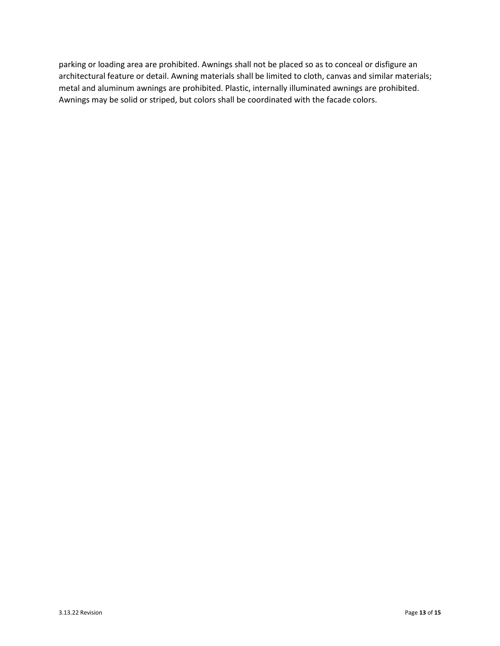parking or loading area are prohibited. Awnings shall not be placed so as to conceal or disfigure an architectural feature or detail. Awning materials shall be limited to cloth, canvas and similar materials; metal and aluminum awnings are prohibited. Plastic, internally illuminated awnings are prohibited. Awnings may be solid or striped, but colors shall be coordinated with the facade colors.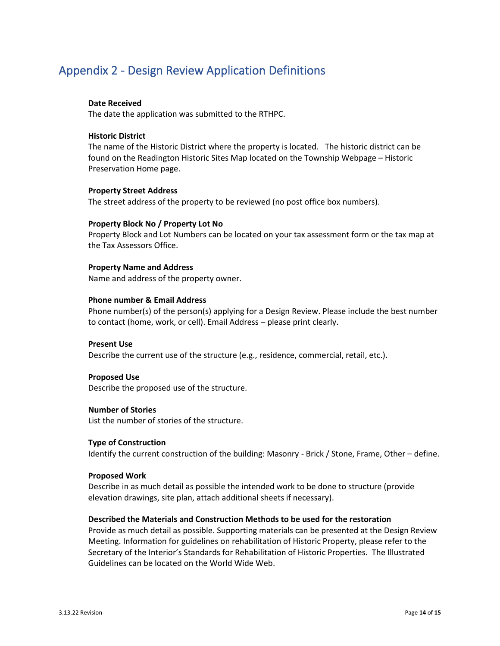## <span id="page-13-0"></span>Appendix 2 - Design Review Application Definitions

#### **Date Received**

The date the application was submitted to the RTHPC.

#### **Historic District**

The name of the Historic District where the property is located. The historic district can be found on the Readington Historic Sites Map located on the Township Webpage – Historic Preservation Home page.

#### **Property Street Address**

The street address of the property to be reviewed (no post office box numbers).

#### **Property Block No / Property Lot No**

Property Block and Lot Numbers can be located on your tax assessment form or the tax map at the Tax Assessors Office.

#### **Property Name and Address**

Name and address of the property owner.

#### **Phone number & Email Address**

Phone number(s) of the person(s) applying for a Design Review. Please include the best number to contact (home, work, or cell). Email Address – please print clearly.

#### **Present Use**

Describe the current use of the structure (e.g., residence, commercial, retail, etc.).

#### **Proposed Use**

Describe the proposed use of the structure.

#### **Number of Stories**

List the number of stories of the structure.

#### **Type of Construction**

Identify the current construction of the building: Masonry - Brick / Stone, Frame, Other – define.

#### **Proposed Work**

Describe in as much detail as possible the intended work to be done to structure (provide elevation drawings, site plan, attach additional sheets if necessary).

#### **Described the Materials and Construction Methods to be used for the restoration**

Provide as much detail as possible. Supporting materials can be presented at the Design Review Meeting. Information for guidelines on rehabilitation of Historic Property, please refer to the Secretary of the Interior's Standards for Rehabilitation of Historic Properties. The Illustrated Guidelines can be located on the World Wide Web.